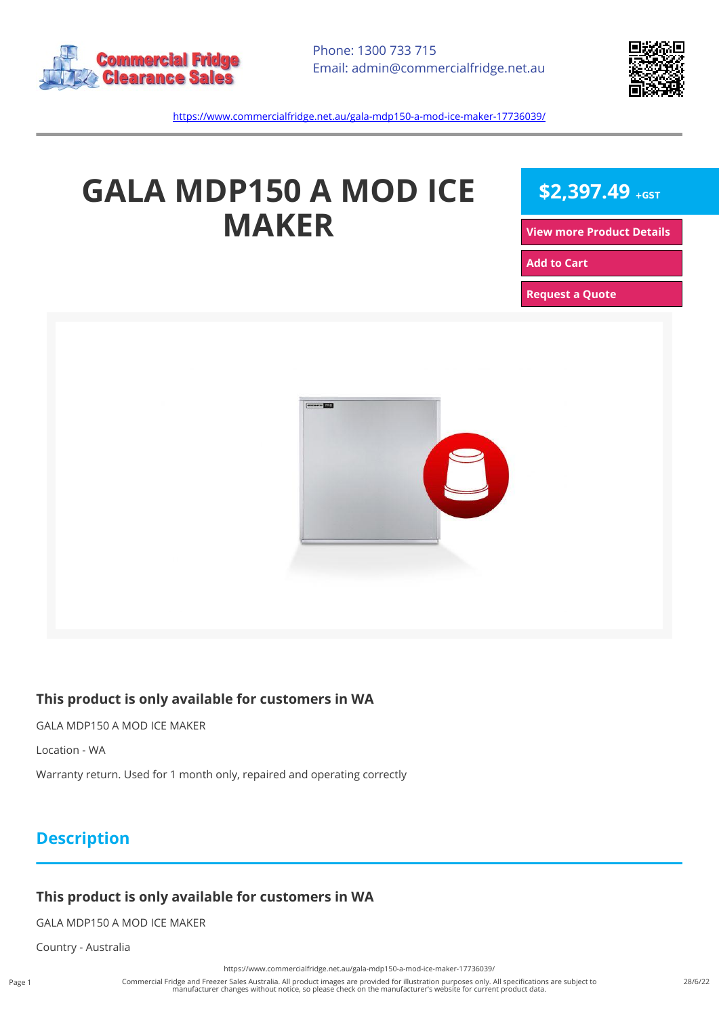



<https://www.commercialfridge.net.au/gala-mdp150-a-mod-ice-maker-17736039/>

# **GALA MDP150 A MOD ICE MAKER**

 $$2,397.49$  +GST

**[View more Product Details](https://www.commercialfridge.net.au/gala-mdp150-a-mod-ice-maker-17736039/)**

**[Add to Cart](https://www.commercialfridge.net.au/gala-mdp150-a-mod-ice-maker-17736039/?addtocart=1)** 

**[Request a Quote](https://www.commercialfridge.net.au/gala-mdp150-a-mod-ice-maker-17736039/?requestaquote=1)** 



### **This product is only available for customers in WA**

GALA MDP150 A MOD ICE MAKER

Location - WA

Warranty return. Used for 1 month only, repaired and operating correctly

## **Description**

#### **This product is only available for customers in WA**

GALA MDP150 A MOD ICE MAKER

Country - Australia

<https://www.commercialfridge.net.au/gala-mdp150-a-mod-ice-maker-17736039/>

Commercial Fridge and Freezer Sales Australia. All product images are provided for illustration purposes only. All specifications are subject to manufacturer changes without notice, so please check on the manufacturer's website for current product data.